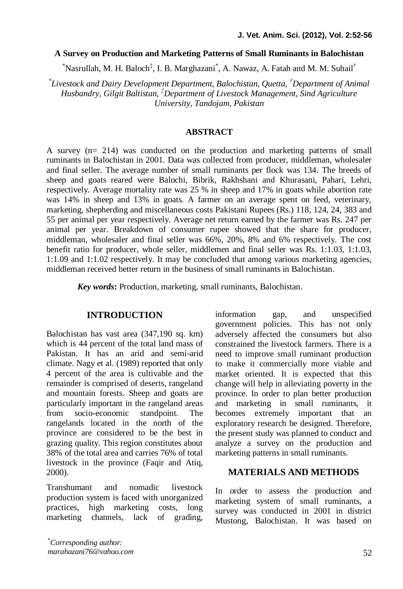#### **A Survey on Production and Marketing Patterns of Small Ruminants in Balochistan**

\*Nasrullah, M. H. Baloch<sup>‡</sup>, I. B. Marghazani\*, A. Nawaz, A. Fatah and M. M. Suhail<sup>†</sup>

\* *Livestock and Dairy Development Department, Balochistan, Quetta, †Department of Animal Husbandry, Gilgit Baltistan, ‡Department of Livestock Management, Sind Agriculture University, Tandojam, Pakistan*

#### **ABSTRACT**

A survey (n= 214) was conducted on the production and marketing patterns of small ruminants in Balochistan in 2001. Data was collected from producer, middleman, wholesaler and final seller. The average number of small ruminants per flock was 134. The breeds of sheep and goats reared were Balochi, Bibrik, Rakhshani and Khurasani, Pahari, Lehri, respectively. Average mortality rate was 25 % in sheep and 17% in goats while abortion rate was 14% in sheep and 13% in goats. A farmer on an average spent on feed, veterinary, marketing, shepherding and miscellaneous costs Pakistani Rupees (Rs.) 118, 124, 24, 383 and 55 per animal per year respectively. Average net return earned by the farmer was Rs. 247 per animal per year. Breakdown of consumer rupee showed that the share for producer, middleman, wholesaler and final seller was 66%, 20%, 8% and 6% respectively. The cost benefit ratio for producer, whole seller, middlemen and final seller was Rs. 1:1.03, 1:1.03, 1:1.09 and 1:1.02 respectively. It may be concluded that among various marketing agencies, middleman received better return in the business of small ruminants in Balochistan.

*Key words***:** Production, marketing, small ruminants, Balochistan.

### **INTRODUCTION**

Balochistan has vast area (347,190 sq. km) which is 44 percent of the total land mass of Pakistan. It has an arid and semi-arid climate. Nagy et al. (1989) reported that only 4 percent of the area is cultivable and the remainder is comprised of deserts, rangeland and mountain forests. Sheep and goats are particularly important in the rangeland areas from socio-economic standpoint. The rangelands located in the north of the province are considered to be the best in grazing quality. This region constitutes about 38% of the total area and carries 76% of total livestock in the province (Faqir and Atiq, 2000).

Transhumant and nomadic livestock production system is faced with unorganized practices, high marketing costs, long marketing channels, lack of grading, information gap, and unspecified government policies. This has not only adversely affected the consumers but also constrained the livestock farmers. There is a need to improve small ruminant production to make it commercially more viable and market oriented. It is expected that this change will help in alleviating poverty in the province. In order to plan better production and marketing in small ruminants, it becomes extremely important that an exploratory research be designed. Therefore, the present study was planned to conduct and analyze a survey on the production and marketing patterns in small ruminants.

### **MATERIALS AND METHODS**

In order to assess the production and marketing system of small ruminants, a survey was conducted in 2001 in district Mustong, Balochistan. It was based on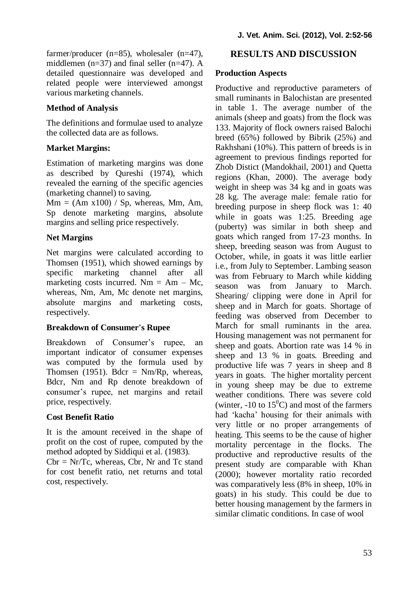farmer/producer (n=85), wholesaler (n=47), middlemen ( $n=37$ ) and final seller ( $n=47$ ). A detailed questionnaire was developed and related people were interviewed amongst various marketing channels.

# **Method of Analysis**

The definitions and formulae used to analyze the collected data are as follows.

## **Market Margins:**

Estimation of marketing margins was done as described by Qureshi (1974), which revealed the earning of the specific agencies (marketing channel) to saving.

 $Mm = (Am x100) / Sp$ , whereas, Mm, Am, Sp denote marketing margins, absolute margins and selling price respectively.

## **Net Margins**

Net margins were calculated according to Thomsen (1951), which showed earnings by specific marketing channel after all marketing costs incurred. Nm =  $Am - Mc$ , whereas, Nm, Am, Mc denote net margins, absolute margins and marketing costs, respectively.

## **Breakdown of Consumer's Rupee**

Breakdown of Consumer's rupee, an important indicator of consumer expenses was computed by the formula used by Thomsen (1951). Bdcr =  $Nm/Rp$ , whereas, Bdcr, Nm and Rp denote breakdown of consumer's rupee, net margins and retail price, respectively.

# **Cost Benefit Ratio**

It is the amount received in the shape of profit on the cost of rupee, computed by the method adopted by Siddiqui et al. (1983).  $Cbr = Nr/Te$ , whereas,  $Cbr$ , Nr and Tc stand

for cost benefit ratio, net returns and total cost, respectively.

# **RESULTS AND DISCUSSION**

## **Production Aspects**

Productive and reproductive parameters of small ruminants in Balochistan are presented in table 1. The average number of the animals (sheep and goats) from the flock was 133. Majority of flock owners raised Balochi breed (65%) followed by Bibrik (25%) and Rakhshani (10%). This pattern of breeds is in agreement to previous findings reported for Zhob Distict (Mandokhail, 2001) and Quetta regions (Khan, 2000). The average body weight in sheep was 34 kg and in goats was 28 kg. The average male: female ratio for breeding purpose in sheep flock was 1: 40 while in goats was 1:25. Breeding age (puberty) was similar in both sheep and goats which ranged from 17-23 months. In sheep, breeding season was from August to October, while, in goats it was little earlier i.e., from July to September. Lambing season was from February to March while kidding season was from January to March. Shearing/ clipping were done in April for sheep and in March for goats. Shortage of feeding was observed from December to March for small ruminants in the area. Housing management was not permanent for sheep and goats. Abortion rate was 14 % in sheep and 13 % in goats. Breeding and productive life was 7 years in sheep and 8 years in goats. The higher mortality percent in young sheep may be due to extreme weather conditions. There was severe cold (winter,  $-10$  to  $15^{\circ}$ C) and most of the farmers had 'kacha' housing for their animals with very little or no proper arrangements of heating. This seems to be the cause of higher mortality percentage in the flocks. The productive and reproductive results of the present study are comparable with Khan (2000); however mortality ratio recorded was comparatively less (8% in sheep, 10% in goats) in his study. This could be due to better housing management by the farmers in similar climatic conditions. In case of wool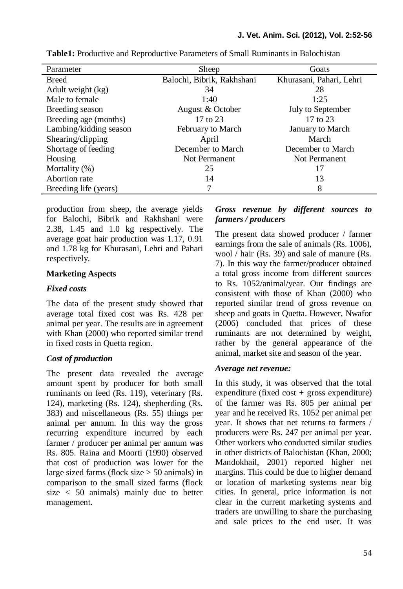| Parameter              | Sheep                      | Goats                    |
|------------------------|----------------------------|--------------------------|
| <b>Breed</b>           | Balochi, Bibrik, Rakhshani | Khurasani, Pahari, Lehri |
| Adult weight (kg)      | 34                         | 28                       |
| Male to female         | 1:40                       | 1:25                     |
| Breeding season        | August & October           | July to September        |
| Breeding age (months)  | 17 to 23                   | 17 to 23                 |
| Lambing/kidding season | February to March          | January to March         |
| Shearing/clipping      | April                      | March                    |
| Shortage of feeding    | December to March          | December to March        |
| Housing                | Not Permanent              | Not Permanent            |
| Mortality $(\%)$       | 25                         | 17                       |
| Abortion rate          | 14                         | 13                       |
| Breeding life (years)  |                            | 8                        |

**Table1:** Productive and Reproductive Parameters of Small Ruminants in Balochistan

production from sheep, the average yields for Balochi, Bibrik and Rakhshani were 2.38, 1.45 and 1.0 kg respectively. The average goat hair production was 1.17, 0.91 and 1.78 kg for Khurasani, Lehri and Pahari respectively.

## **Marketing Aspects**

### *Fixed costs*

The data of the present study showed that average total fixed cost was Rs. 428 per animal per year. The results are in agreement with Khan (2000) who reported similar trend in fixed costs in Quetta region.

## *Cost of production*

The present data revealed the average amount spent by producer for both small ruminants on feed (Rs. 119), veterinary (Rs. 124), marketing (Rs. 124), shepherding (Rs. 383) and miscellaneous (Rs. 55) things per animal per annum. In this way the gross recurring expenditure incurred by each farmer / producer per animal per annum was Rs. 805. Raina and Moorti (1990) observed that cost of production was lower for the large sized farms (flock size  $> 50$  animals) in comparison to the small sized farms (flock size < 50 animals) mainly due to better management.

## *Gross revenue by different sources to farmers / producers*

The present data showed producer / farmer earnings from the sale of animals (Rs. 1006), wool / hair (Rs. 39) and sale of manure (Rs. 7). In this way the farmer/producer obtained a total gross income from different sources to Rs. 1052/animal/year. Our findings are consistent with those of Khan (2000) who reported similar trend of gross revenue on sheep and goats in Quetta. However, Nwafor (2006) concluded that prices of these ruminants are not determined by weight, rather by the general appearance of the animal, market site and season of the year.

#### *Average net revenue:*

In this study, it was observed that the total expenditure (fixed  $cost + gross$  expenditure) of the farmer was Rs. 805 per animal per year and he received Rs. 1052 per animal per year. It shows that net returns to farmers / producers were Rs. 247 per animal per year. Other workers who conducted similar studies in other districts of Balochistan (Khan, 2000; Mandokhail, 2001) reported higher net margins. This could be due to higher demand or location of marketing systems near big cities. In general, price information is not clear in the current marketing systems and traders are unwilling to share the purchasing and sale prices to the end user. It was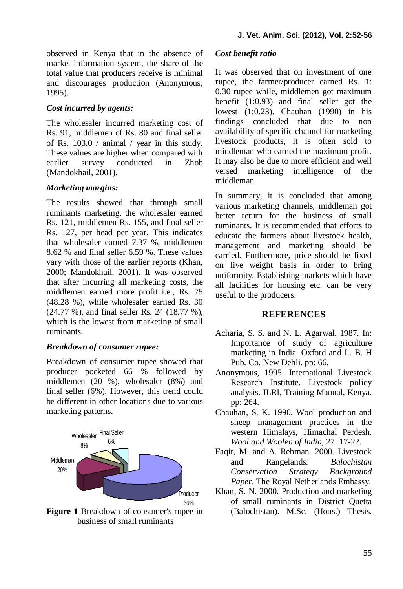observed in Kenya that in the absence of market information system, the share of the total value that producers receive is minimal and discourages production (Anonymous, 1995).

### *Cost incurred by agents:*

The wholesaler incurred marketing cost of Rs. 91, middlemen of Rs. 80 and final seller of Rs. 103.0 / animal / year in this study. These values are higher when compared with earlier survey conducted in Zhob (Mandokhail, 2001).

#### *Marketing margins:*

The results showed that through small ruminants marketing, the wholesaler earned Rs. 121, middlemen Rs. 155, and final seller Rs. 127, per head per year. This indicates that wholesaler earned 7.37 %, middlemen 8.62 % and final seller 6.59 %. These values vary with those of the earlier reports (Khan, 2000; Mandokhail, 2001). It was observed that after incurring all marketing costs, the middlemen earned more profit i.e., Rs. 75 (48.28 %), while wholesaler earned Rs. 30 (24.77 %), and final seller Rs. 24 (18.77 %), which is the lowest from marketing of small ruminants.

#### *Breakdown of consumer rupee:*

Breakdown of consumer rupee showed that producer pocketed 66 % followed by middlemen (20 %), wholesaler (8%) and final seller (6%). However, this trend could be different in other locations due to various marketing patterns.



**Figure 1** Breakdown of consumer's rupee in business of small ruminants

#### *Cost benefit ratio*

It was observed that on investment of one rupee, the farmer/producer earned Rs. 1: 0.30 rupee while, middlemen got maximum benefit (1:0.93) and final seller got the lowest (1:0.23). Chauhan (1990) in his findings concluded that due to non availability of specific channel for marketing livestock products, it is often sold to middleman who earned the maximum profit. It may also be due to more efficient and well versed marketing intelligence of the middleman.

In summary, it is concluded that among various marketing channels, middleman got better return for the business of small ruminants. It is recommended that efforts to educate the farmers about livestock health, management and marketing should be carried. Furthermore, price should be fixed on live weight basis in order to bring uniformity. Establishing markets which have all facilities for housing etc. can be very useful to the producers.

#### **REFERENCES**

- Acharia, S. S. and N. L. Agarwal. 1987. In: Importance of study of agriculture marketing in India. Oxford and L. B. H Pub. Co. New Dehli. pp: 66.
- Anonymous, 1995. International Livestock Research Institute. Livestock policy analysis. ILRI, Training Manual, Kenya*.* pp: 264.
- Chauhan, S. K. 1990. Wool production and sheep management practices in the western Himalays, Himachal Perdesh. *Wool and Woolen of India*, 27: 17-22.
- Faqir, M. and A. Rehman. 2000. Livestock and Rangelands. *Balochistan Conservation Strategy Background Paper*. The Royal Netherlands Embassy.
- Khan, S. N. 2000. Production and marketing of small ruminants in District Quetta (Balochistan). M.Sc. (Hons.) Thesis.